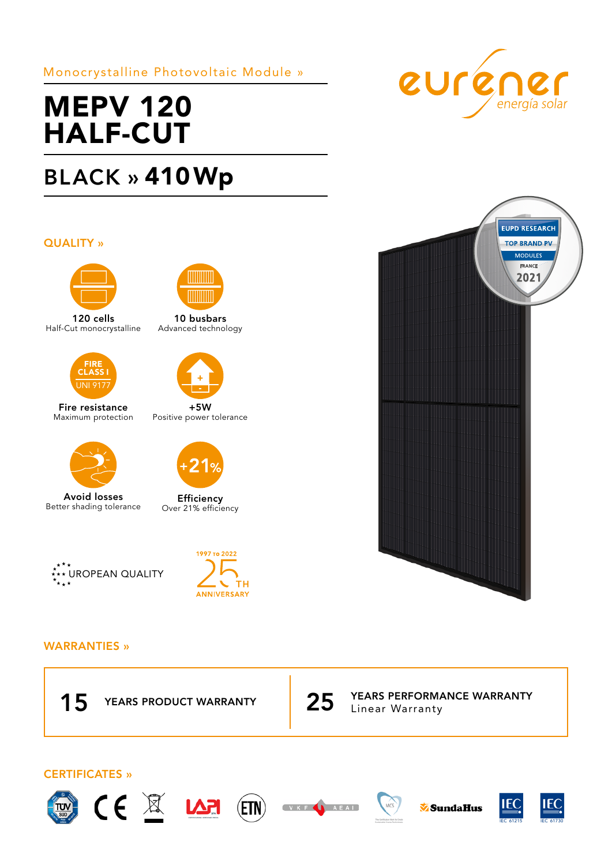## Monocrystalline Photovoltaic Module »

# MEPV 120 HALF-CUT

## BLACK » 410Wp

### QUALITY »



120 cells Half-Cut monocrystalline



Fire resistance Maximum protection



Avoid losses Better shading tolerance





## WARRANTIES »





## CERTIFICATES »



















10 busbars Advanced technology

**TITULITI** 



+5W Positive power tolerance



**Efficiency** Over 21% efficiency